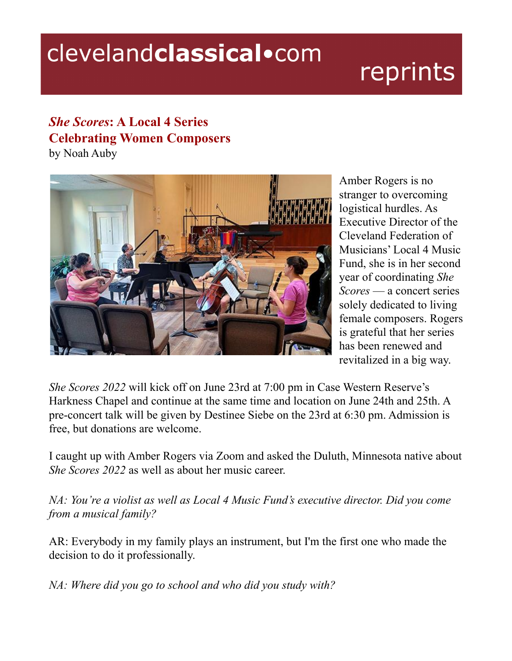## clevelandclassical.com

# reprints

### *She Scores***: A Local 4 Series Celebrating Women Composers**

by Noah Auby



Amber Rogers is no stranger to overcoming logistical hurdles. As Executive Director of the Cleveland Federation of Musicians' Local 4 Music Fund, she is in her second year of coordinating *She Scores* — a concert series solely dedicated to living female composers. Rogers is grateful that her series has been renewed and revitalized in a big way.

*She Scores 2022* will kick off on June 23rd at 7:00 pm in Case Western Reserve's Harkness Chapel and continue at the same time and location on June 24th and 25th. A pre-concert talk will be given by Destinee Siebe on the 23rd at 6:30 pm. Admission is free, but donations are welcome.

I caught up with Amber Rogers via Zoom and asked the Duluth, Minnesota native about *She Scores 2022* as well as about her music career.

*NA: You're a violist as well as Local 4 Music Fund's executive director. Did you come from a musical family?*

AR: Everybody in my family plays an instrument, but I'm the first one who made the decision to do it professionally.

*NA: Where did you go to school and who did you study with?*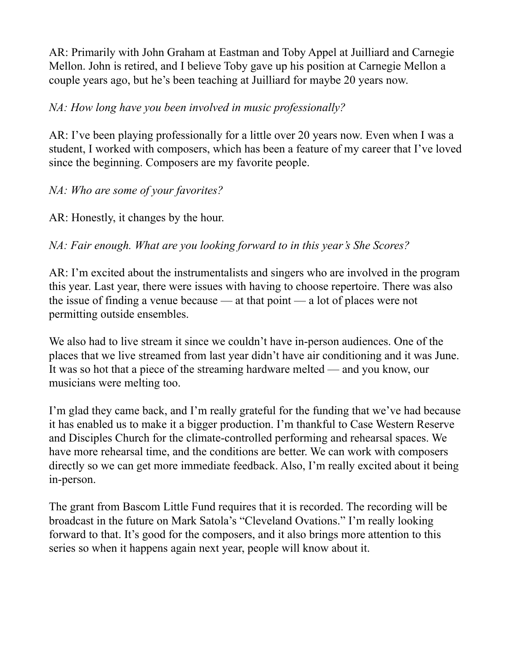AR: Primarily with John Graham at Eastman and Toby Appel at Juilliard and Carnegie Mellon. John is retired, and I believe Toby gave up his position at Carnegie Mellon a couple years ago, but he's been teaching at Juilliard for maybe 20 years now.

#### *NA: How long have you been involved in music professionally?*

AR: I've been playing professionally for a little over 20 years now. Even when I was a student, I worked with composers, which has been a feature of my career that I've loved since the beginning. Composers are my favorite people.

#### *NA: Who are some of your favorites?*

AR: Honestly, it changes by the hour.

*NA: Fair enough. What are you looking forward to in this year's She Scores?*

AR: I'm excited about the instrumentalists and singers who are involved in the program this year. Last year, there were issues with having to choose repertoire. There was also the issue of finding a venue because — at that point — a lot of places were not permitting outside ensembles.

We also had to live stream it since we couldn't have in-person audiences. One of the places that we live streamed from last year didn't have air conditioning and it was June. It was so hot that a piece of the streaming hardware melted — and you know, our musicians were melting too.

I'm glad they came back, and I'm really grateful for the funding that we've had because it has enabled us to make it a bigger production. I'm thankful to Case Western Reserve and Disciples Church for the climate-controlled performing and rehearsal spaces. We have more rehearsal time, and the conditions are better. We can work with composers directly so we can get more immediate feedback. Also, I'm really excited about it being in-person.

The grant from Bascom Little Fund requires that it is recorded. The recording will be broadcast in the future on Mark Satola's "Cleveland Ovations." I'm really looking forward to that. It's good for the composers, and it also brings more attention to this series so when it happens again next year, people will know about it.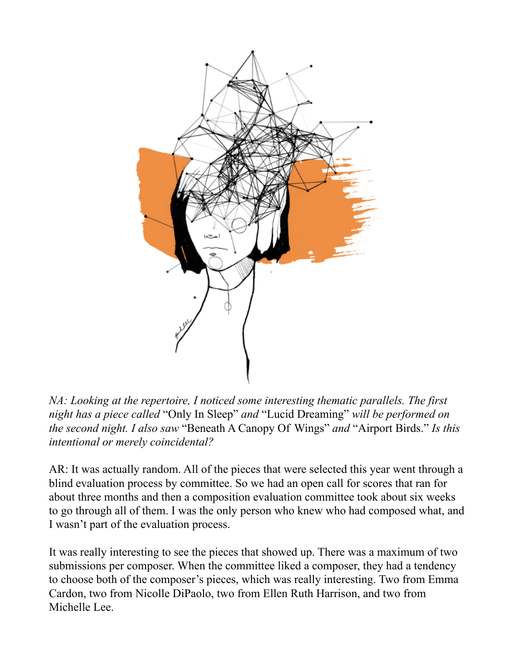

*NA: Looking at the repertoire, I noticed some interesting thematic parallels. The first night has a piece called* "Only In Sleep" *and* "Lucid Dreaming" *will be performed on the second night. I also saw* "Beneath A Canopy Of Wings" *and* "Airport Birds." *Is this intentional or merely coincidental?*

AR: It was actually random. All of the pieces that were selected this year went through a blind evaluation process by committee. So we had an open call for scores that ran for about three months and then a composition evaluation committee took about six weeks to go through all of them. I was the only person who knew who had composed what, and I wasn't part of the evaluation process.

It was really interesting to see the pieces that showed up. There was a maximum of two submissions per composer. When the committee liked a composer, they had a tendency to choose both of the composer's pieces, which was really interesting. Two from Emma Cardon, two from Nicolle DiPaolo, two from Ellen Ruth Harrison, and two from Michelle Lee.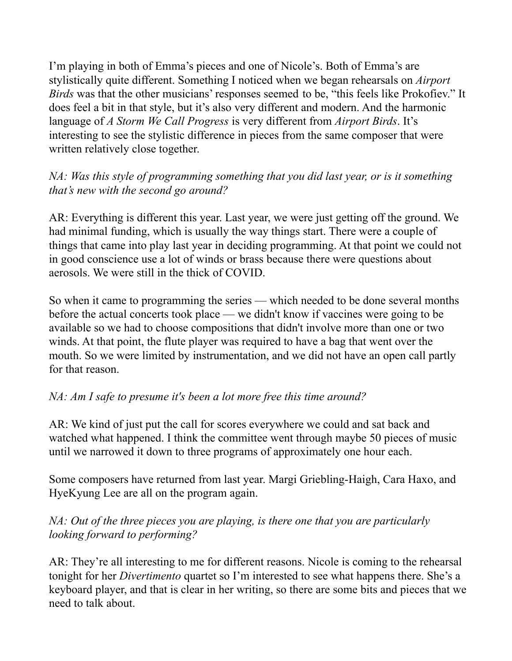I'm playing in both of Emma's pieces and one of Nicole's. Both of Emma's are stylistically quite different. Something I noticed when we began rehearsals on *Airport Birds* was that the other musicians' responses seemed to be, "this feels like Prokofiev." It does feel a bit in that style, but it's also very different and modern. And the harmonic language of *A Storm We Call Progress* is very different from *Airport Birds*. It's interesting to see the stylistic difference in pieces from the same composer that were written relatively close together.

#### *NA: Was this style of programming something that you did last year, or is it something that's new with the second go around?*

AR: Everything is different this year. Last year, we were just getting off the ground. We had minimal funding, which is usually the way things start. There were a couple of things that came into play last year in deciding programming. At that point we could not in good conscience use a lot of winds or brass because there were questions about aerosols. We were still in the thick of COVID.

So when it came to programming the series — which needed to be done several months before the actual concerts took place — we didn't know if vaccines were going to be available so we had to choose compositions that didn't involve more than one or two winds. At that point, the flute player was required to have a bag that went over the mouth. So we were limited by instrumentation, and we did not have an open call partly for that reason.

#### *NA: Am I safe to presume it's been a lot more free this time around?*

AR: We kind of just put the call for scores everywhere we could and sat back and watched what happened. I think the committee went through maybe 50 pieces of music until we narrowed it down to three programs of approximately one hour each.

Some composers have returned from last year. Margi Griebling-Haigh, Cara Haxo, and HyeKyung Lee are all on the program again.

#### *NA: Out of the three pieces you are playing, is there one that you are particularly looking forward to performing?*

AR: They're all interesting to me for different reasons. Nicole is coming to the rehearsal tonight for her *Divertimento* quartet so I'm interested to see what happens there. She's a keyboard player, and that is clear in her writing, so there are some bits and pieces that we need to talk about.